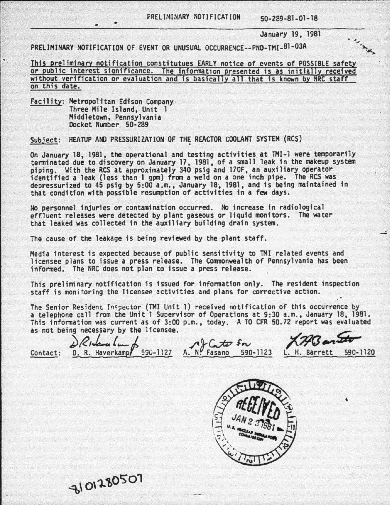## PRELIMINARY NOTIFICATION 50-289-81-01-18

January 19, 1981

. ..<sub>. Wit</sub>

PRELIMINARY NOTIFICATION OF EVENT OR UNUSUAL OCCURRENCE--PNO-TMI-81-03A

This preliminary notification constitutues EARLY notice of events of POSSIBLE safety or public interest significance. The information presented is as initially received without verification or evaluation and is basically all that is known by NRC staff on this date.

Facility: Metropolitan Edison Company Three Mile Island, Unit 1 Middletown, Pennsylvania Docket Number 50-289

Subject: HEATUP AND PRESSURIZATION OF THE REACTOR COOLANT SYSTEM (RCS)

On January 18, 1981, the operational and testing activities at TMI-1 were temporarily<br>terminated due to discovery on January 17, 1981, of a small leak in the makeup system<br>piping. With the RCS at approximately 340 psig and depressurized to 45 psig by 5:00a.m., January 18·, 1981, and is being maintained in that condition with possible resumption of activities in a few days.

No personnel injuries or contamination occurred. No increase in radiological effluent releases were detected by plant gaseous or liquid monitors. The water that leaked was collected in the auxiliary building drain system.

The cause of the leakage is being reviewed by the plant staff.

Media interest is expected because of public sensitivity to THI related events and licensee plans to issue a press release. The Commonwealth of Pennsylvania has been informed. The NRC does not plan to issue a press release.

This preliminary notification is issued for information only. The resident inspection staff is monitoring the licensee activities and plans for corrective action.

The Senior Resident Inspector (TMI Unit 1) received notification of this occurrence by<br>a telephone call from the Unit 1 Supervisor of Operations at 9:30 a.m., January 18, 1981. a telephone call from the Unit 1 Supervisor of Operations at 9:30 a.m., January 18, 1981.<br>This information was current as of 3:00 p.m., today. A TO CFR 50.72 report was evaluated This information was current as of  $3:00$  p.m., today. A 10 CFR 50.72 report was evaluated as not being necessary by the licensee.

DRIdenslaugh AfCato Son X79Bandto Contact: D. R. Haverkamp 590-1127 A. N. Fasano 590-1123 L. H. Barrett 590-1120

3101280507

t